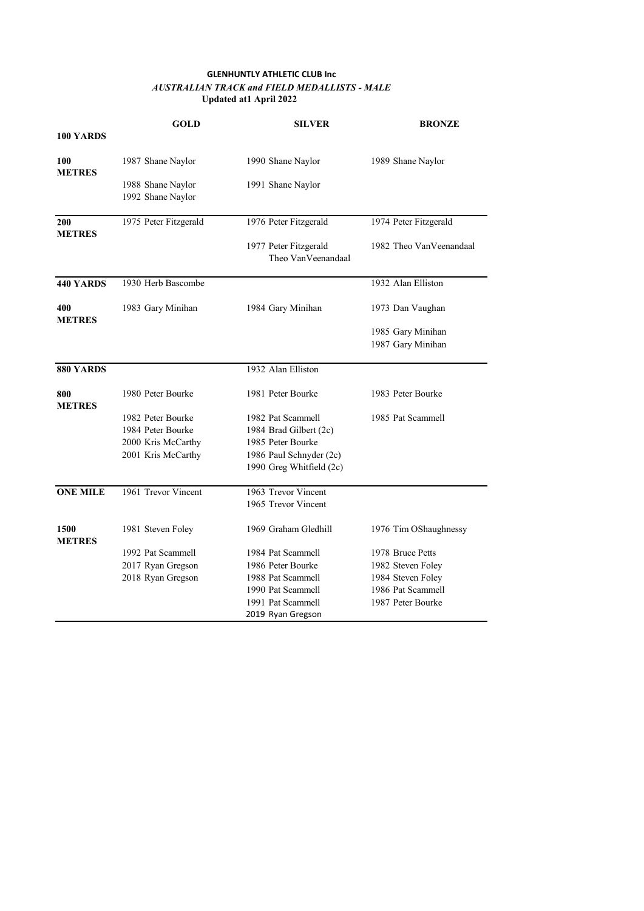## **GLENHUNTLY ATHLETIC CLUB Inc**  *AUSTRALIAN TRACK and FIELD MEDALLISTS - MALE* **Updated at1 April 2022**

|                       | <b>GOLD</b>           | <b>SILVER</b>                               | <b>BRONZE</b>           |
|-----------------------|-----------------------|---------------------------------------------|-------------------------|
| 100 YARDS             |                       |                                             |                         |
| 100<br><b>METRES</b>  | 1987 Shane Naylor     | 1990 Shane Naylor                           | 1989 Shane Naylor       |
|                       | 1988 Shane Naylor     | 1991 Shane Naylor                           |                         |
|                       | 1992 Shane Naylor     |                                             |                         |
| 200                   | 1975 Peter Fitzgerald | 1976 Peter Fitzgerald                       | 1974 Peter Fitzgerald   |
| <b>METRES</b>         |                       | 1977 Peter Fitzgerald<br>Theo VanVeenandaal | 1982 Theo VanVeenandaal |
| <b>440 YARDS</b>      | 1930 Herb Bascombe    |                                             | 1932 Alan Elliston      |
| 400<br><b>METRES</b>  | 1983 Gary Minihan     | 1984 Gary Minihan                           | 1973 Dan Vaughan        |
|                       |                       |                                             | 1985 Gary Minihan       |
|                       |                       |                                             | 1987 Gary Minihan       |
| 880 YARDS             |                       | 1932 Alan Elliston                          |                         |
| 800<br><b>METRES</b>  | 1980 Peter Bourke     | 1981 Peter Bourke                           | 1983 Peter Bourke       |
|                       | 1982 Peter Bourke     | 1982 Pat Scammell                           | 1985 Pat Scammell       |
|                       | 1984 Peter Bourke     | 1984 Brad Gilbert (2c)                      |                         |
|                       | 2000 Kris McCarthy    | 1985 Peter Bourke                           |                         |
|                       | 2001 Kris McCarthy    | 1986 Paul Schnyder (2c)                     |                         |
|                       |                       | 1990 Greg Whitfield (2c)                    |                         |
| <b>ONE MILE</b>       | 1961 Trevor Vincent   | 1963 Trevor Vincent                         |                         |
|                       |                       | 1965 Trevor Vincent                         |                         |
| 1500<br><b>METRES</b> | 1981 Steven Foley     | 1969 Graham Gledhill                        | 1976 Tim OShaughnessy   |
|                       | 1992 Pat Scammell     | 1984 Pat Scammell                           | 1978 Bruce Petts        |
|                       | 2017 Ryan Gregson     | 1986 Peter Bourke                           | 1982 Steven Foley       |
|                       | 2018 Ryan Gregson     | 1988 Pat Scammell                           | 1984 Steven Foley       |
|                       |                       | 1990 Pat Scammell                           | 1986 Pat Scammell       |
|                       |                       | 1991 Pat Scammell                           | 1987 Peter Bourke       |
|                       |                       | 2019 Ryan Gregson                           |                         |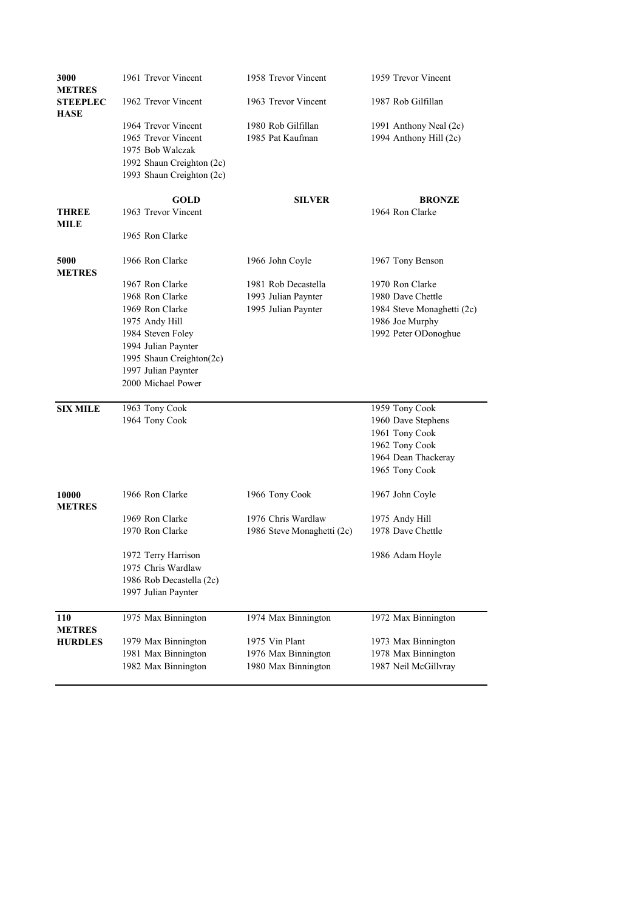| 3000<br><b>METRES</b>          | 1961 Trevor Vincent                             | 1958 Trevor Vincent                        | 1959 Trevor Vincent                         |
|--------------------------------|-------------------------------------------------|--------------------------------------------|---------------------------------------------|
| <b>STEEPLEC</b><br><b>HASE</b> | 1962 Trevor Vincent                             | 1963 Trevor Vincent                        | 1987 Rob Gilfillan                          |
|                                | 1964 Trevor Vincent                             | 1980 Rob Gilfillan                         | 1991 Anthony Neal (2c)                      |
|                                | 1965 Trevor Vincent                             | 1985 Pat Kaufman                           | 1994 Anthony Hill (2c)                      |
|                                | 1975 Bob Walczak                                |                                            |                                             |
|                                | 1992 Shaun Creighton (2c)                       |                                            |                                             |
|                                | 1993 Shaun Creighton (2c)                       |                                            |                                             |
|                                | <b>GOLD</b>                                     | <b>SILVER</b>                              | <b>BRONZE</b>                               |
| <b>THREE</b><br>MILE           | 1963 Trevor Vincent                             |                                            | 1964 Ron Clarke                             |
|                                | 1965 Ron Clarke                                 |                                            |                                             |
| 5000<br><b>METRES</b>          | 1966 Ron Clarke                                 | 1966 John Coyle                            | 1967 Tony Benson                            |
|                                | 1967 Ron Clarke                                 | 1981 Rob Decastella                        | 1970 Ron Clarke                             |
|                                | 1968 Ron Clarke                                 | 1993 Julian Paynter                        | 1980 Dave Chettle                           |
|                                | 1969 Ron Clarke                                 | 1995 Julian Paynter                        | 1984 Steve Monaghetti (2c)                  |
|                                | 1975 Andy Hill                                  |                                            | 1986 Joe Murphy                             |
|                                | 1984 Steven Foley                               |                                            | 1992 Peter ODonoghue                        |
|                                | 1994 Julian Paynter                             |                                            |                                             |
|                                | 1995 Shaun Creighton(2c)<br>1997 Julian Paynter |                                            |                                             |
|                                | 2000 Michael Power                              |                                            |                                             |
| <b>SIX MILE</b>                | 1963 Tony Cook                                  |                                            | 1959 Tony Cook                              |
|                                | 1964 Tony Cook                                  |                                            | 1960 Dave Stephens                          |
|                                |                                                 |                                            | 1961 Tony Cook                              |
|                                |                                                 |                                            | 1962 Tony Cook                              |
|                                |                                                 |                                            | 1964 Dean Thackeray                         |
|                                |                                                 |                                            | 1965 Tony Cook                              |
| 10000<br><b>METRES</b>         | 1966 Ron Clarke                                 | 1966 Tony Cook                             | 1967 John Coyle                             |
|                                | 1969 Ron Clarke                                 | 1976 Chris Wardlaw                         | 1975 Andy Hill                              |
|                                | 1970 Ron Clarke                                 | 1986 Steve Monaghetti (2c)                 | 1978 Dave Chettle                           |
|                                | 1972 Terry Harrison                             |                                            | 1986 Adam Hoyle                             |
|                                | 1975 Chris Wardlaw                              |                                            |                                             |
|                                | 1986 Rob Decastella (2c)                        |                                            |                                             |
|                                | 1997 Julian Paynter                             |                                            |                                             |
| 110                            | 1975 Max Binnington                             | 1974 Max Binnington                        | 1972 Max Binnington                         |
| <b>METRES</b>                  |                                                 |                                            |                                             |
|                                |                                                 |                                            |                                             |
| <b>HURDLES</b>                 | 1979 Max Binnington                             | 1975 Vin Plant                             | 1973 Max Binnington                         |
|                                | 1981 Max Binnington<br>1982 Max Binnington      | 1976 Max Binnington<br>1980 Max Binnington | 1978 Max Binnington<br>1987 Neil McGillvray |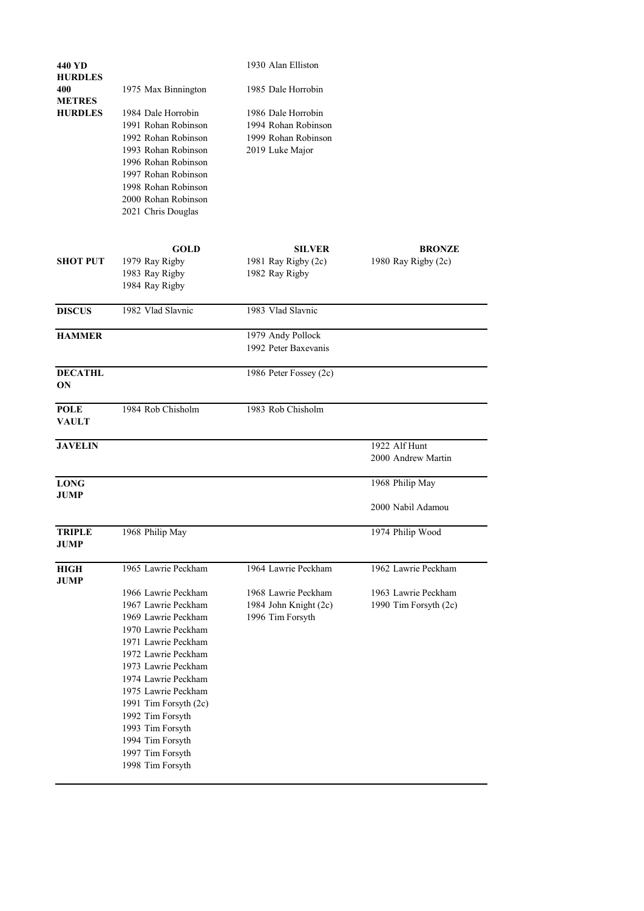| 440 YD                                                     |                                            | 1930 Alan Elliston     |                       |
|------------------------------------------------------------|--------------------------------------------|------------------------|-----------------------|
| <b>HURDLES</b><br>400                                      | 1975 Max Binnington                        | 1985 Dale Horrobin     |                       |
| <b>METRES</b>                                              |                                            |                        |                       |
| <b>HURDLES</b>                                             | 1984 Dale Horrobin                         | 1986 Dale Horrobin     |                       |
|                                                            | 1991 Rohan Robinson                        | 1994 Rohan Robinson    |                       |
|                                                            | 1992 Rohan Robinson                        | 1999 Rohan Robinson    |                       |
|                                                            | 1993 Rohan Robinson                        | 2019 Luke Major        |                       |
|                                                            | 1996 Rohan Robinson                        |                        |                       |
|                                                            | 1997 Rohan Robinson                        |                        |                       |
|                                                            | 1998 Rohan Robinson<br>2000 Rohan Robinson |                        |                       |
|                                                            | 2021 Chris Douglas                         |                        |                       |
|                                                            |                                            |                        |                       |
|                                                            | <b>GOLD</b>                                | <b>SILVER</b>          | <b>BRONZE</b>         |
| <b>SHOT PUT</b>                                            | 1979 Ray Rigby                             | 1981 Ray Rigby (2c)    | 1980 Ray Rigby (2c)   |
|                                                            | 1983 Ray Rigby                             | 1982 Ray Rigby         |                       |
|                                                            | 1984 Ray Rigby                             |                        |                       |
| <b>DISCUS</b>                                              | 1982 Vlad Slavnic                          | 1983 Vlad Slavnic      |                       |
| <b>HAMMER</b>                                              |                                            | 1979 Andy Pollock      |                       |
|                                                            |                                            | 1992 Peter Baxevanis   |                       |
| <b>DECATHL</b>                                             |                                            | 1986 Peter Fossey (2c) |                       |
| <b>ON</b>                                                  |                                            |                        |                       |
| <b>POLE</b><br><b>VAULT</b>                                | 1984 Rob Chisholm                          | 1983 Rob Chisholm      |                       |
|                                                            |                                            |                        |                       |
| <b>JAVELIN</b>                                             |                                            |                        | 1922 Alf Hunt         |
|                                                            |                                            |                        | 2000 Andrew Martin    |
| <b>LONG</b>                                                |                                            |                        | 1968 Philip May       |
| <b>JUMP</b>                                                |                                            |                        | 2000 Nabil Adamou     |
|                                                            |                                            |                        |                       |
|                                                            |                                            |                        |                       |
|                                                            | 1968 Philip May                            |                        | 1974 Philip Wood      |
|                                                            | 1965 Lawrie Peckham                        | 1964 Lawrie Peckham    | 1962 Lawrie Peckham   |
|                                                            |                                            |                        |                       |
|                                                            | 1966 Lawrie Peckham                        | 1968 Lawrie Peckham    | 1963 Lawrie Peckham   |
|                                                            | 1967 Lawrie Peckham                        | 1984 John Knight (2c)  | 1990 Tim Forsyth (2c) |
|                                                            | 1969 Lawrie Peckham                        | 1996 Tim Forsyth       |                       |
|                                                            | 1970 Lawrie Peckham                        |                        |                       |
|                                                            | 1971 Lawrie Peckham                        |                        |                       |
|                                                            | 1972 Lawrie Peckham                        |                        |                       |
| <b>TRIPLE</b><br><b>JUMP</b><br><b>HIGH</b><br><b>JUMP</b> | 1973 Lawrie Peckham                        |                        |                       |
|                                                            | 1974 Lawrie Peckham                        |                        |                       |
|                                                            | 1975 Lawrie Peckham                        |                        |                       |
|                                                            | 1991 Tim Forsyth (2c)                      |                        |                       |
|                                                            | 1992 Tim Forsyth                           |                        |                       |
|                                                            | 1993 Tim Forsyth                           |                        |                       |
|                                                            | 1994 Tim Forsyth<br>1997 Tim Forsyth       |                        |                       |